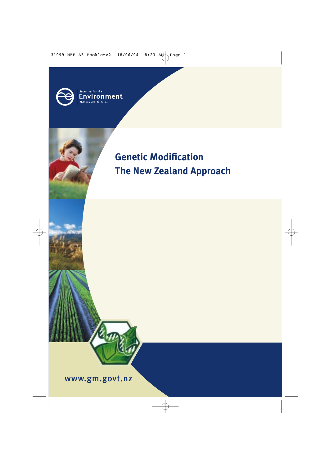

## **Genetic Modification The New Zealand Approach**

www.gm.govt.nz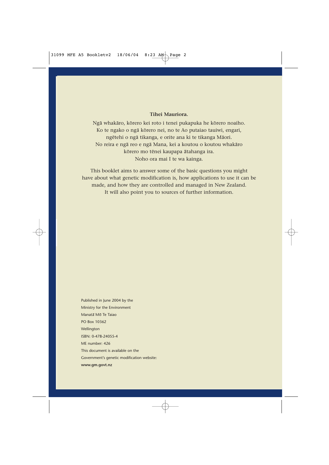#### **Tihei Mauriora.**

Ngā whakāro, kōrero kei roto i tenei pukapuka he kōrero noaiho. Ko te ngako o ngā kōrero nei, no te Ao putaiao tauiwi, engari, ngetehi o nga tikanga, e orite ana ki te tikanga Maori. No reira e nga reo e nga Mana, kei a koutou o koutou whakaro kōrero mo tēnei kaupapa ātahanga ira. Noho ora mai I te wa kainga.

This booklet aims to answer some of the basic questions you might have about what genetic modification is, how applications to use it can be made, and how they are controlled and managed in New Zealand. It will also point you to sources of further information.

Published in June 2004 by the Ministry for the Environment Manata Mo Te Taiao PO Box 10362 Wellington ISBN: 0-478-24055-4 ME number: 426 This document is available on the Government's genetic modification website: **www.gm.govt.nz**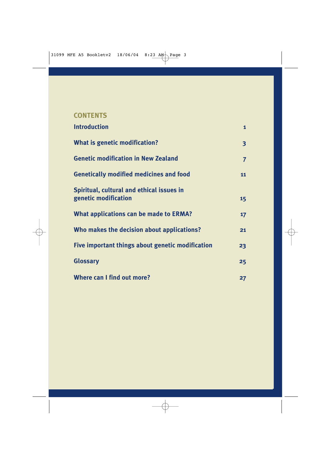#### **CONTENTS**

| <b>Introduction</b>                                               | $\mathbf{1}$    |
|-------------------------------------------------------------------|-----------------|
| What is genetic modification?                                     | 3               |
| <b>Genetic modification in New Zealand</b>                        | $\overline{7}$  |
| <b>Genetically modified medicines and food</b>                    | 11              |
| Spiritual, cultural and ethical issues in<br>genetic modification | 15 <sub>1</sub> |
| What applications can be made to ERMA?                            | $17 \,$         |
| Who makes the decision about applications?                        | 21              |
| Five important things about genetic modification                  | 23              |
| <b>Glossary</b>                                                   | 25              |
| Where can I find out more?                                        | 27              |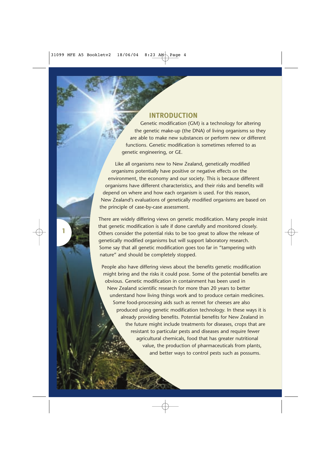#### **INTRODUCTION**

Genetic modification (GM) is a technology for altering the genetic make-up (the DNA) of living organisms so they are able to make new substances or perform new or different functions. Genetic modification is sometimes referred to as genetic engineering, or GE.

Like all organisms new to New Zealand, genetically modified organisms potentially have positive or negative effects on the environment, the economy and our society. This is because different organisms have different characteristics, and their risks and benefits will depend on where and how each organism is used. For this reason, New Zealand's evaluations of genetically modified organisms are based on the principle of case-by-case assessment.

There are widely differing views on genetic modification. Many people insist that genetic modification is safe if done carefully and monitored closely. Others consider the potential risks to be too great to allow the release of genetically modified organisms but will support laboratory research. Some say that all genetic modification goes too far in "tampering with nature" and should be completely stopped.

**1**

People also have differing views about the benefits genetic modification might bring and the risks it could pose. Some of the potential benefits are obvious. Genetic modification in containment has been used in New Zealand scientific research for more than 20 years to better understand how living things work and to produce certain medicines. Some food-processing aids such as rennet for cheeses are also produced using genetic modification technology. In these ways it is already providing benefits. Potential benefits for New Zealand in the future might include treatments for diseases, crops that are resistant to particular pests and diseases and require fewer agricultural chemicals, food that has greater nutritional value, the production of pharmaceuticals from plants, and better ways to control pests such as possums.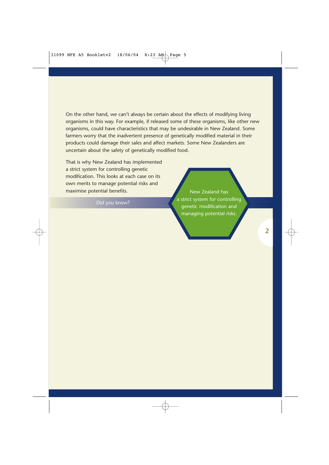On the other hand, we can't always be certain about the effects of modifying living organisms in this way. For example, if released some of these organisms, like other new organisms, could have characteristics that may be undesirable in New Zealand. Some farmers worry that the inadvertent presence of genetically modified material in their products could damage their sales and affect markets. Some New Zealanders are uncertain about the safety of genetically modified food.

That is why New Zealand has implemented a strict system for controlling genetic modification. This looks at each case on its own merits to manage potential risks and maximise potential benefits.

New Zealand has a strict system for controlling genetic modification and managing potential risks.

**2**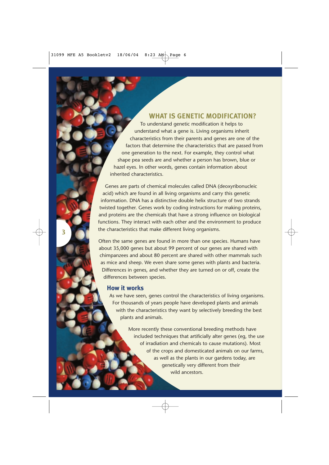#### **WHAT IS GENETIC MODIFICATION?**

To understand genetic modification it helps to understand what a gene is. Living organisms inherit characteristics from their parents and genes are one of the factors that determine the characteristics that are passed from one generation to the next. For example, they control what shape pea seeds are and whether a person has brown, blue or hazel eyes. In other words, genes contain information about inherited characteristics.

Genes are parts of chemical molecules called DNA (deoxyribonucleic acid) which are found in all living organisms and carry this genetic information. DNA has a distinctive double helix structure of two strands twisted together. Genes work by coding instructions for making proteins, and proteins are the chemicals that have a strong influence on biological functions. They interact with each other and the environment to produce the characteristics that make different living organisms.

Often the same genes are found in more than one species. Humans have about 35,000 genes but about 99 percent of our genes are shared with chimpanzees and about 80 percent are shared with other mammals such as mice and sheep. We even share some genes with plants and bacteria. Differences in genes, and whether they are turned on or off, create the differences between species.

#### **How it works**

**3**

As we have seen, genes control the characteristics of living organisms. For thousands of years people have developed plants and animals with the characteristics they want by selectively breeding the best plants and animals.

> More recently these conventional breeding methods have included techniques that artificially alter genes (eg, the use of irradiation and chemicals to cause mutations). Most of the crops and domesticated animals on our farms, as well as the plants in our gardens today, are genetically very different from their wild ancestors.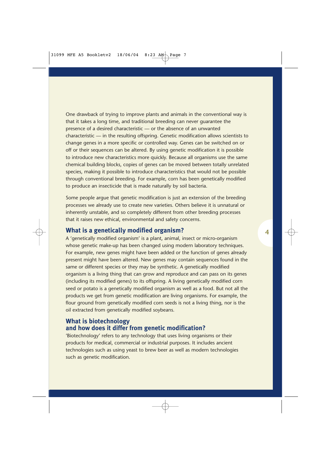One drawback of trying to improve plants and animals in the conventional way is that it takes a long time, and traditional breeding can never guarantee the presence of a desired characteristic — or the absence of an unwanted characteristic — in the resulting offspring. Genetic modification allows scientists to change genes in a more specific or controlled way. Genes can be switched on or off or their sequences can be altered. By using genetic modification it is possible to introduce new characteristics more quickly. Because all organisms use the same chemical building blocks, copies of genes can be moved between totally unrelated species, making it possible to introduce characteristics that would not be possible through conventional breeding. For example, corn has been genetically modified to produce an insecticide that is made naturally by soil bacteria.

Some people argue that genetic modification is just an extension of the breeding processes we already use to create new varieties. Others believe it is unnatural or inherently unstable, and so completely different from other breeding processes that it raises new ethical, environmental and safety concerns.

#### **What is a genetically modified organism?**

A 'genetically modified organism' is a plant, animal, insect or micro-organism whose genetic make-up has been changed using modern laboratory techniques. For example, new genes might have been added or the function of genes already present might have been altered. New genes may contain sequences found in the same or different species or they may be synthetic. A genetically modified organism is a living thing that can grow and reproduce and can pass on its genes (including its modified genes) to its offspring. A living genetically modified corn seed or potato is a genetically modified organism as well as a food. But not all the products we get from genetic modification are living organisms. For example, the flour ground from genetically modified corn seeds is not a living thing, nor is the oil extracted from genetically modified soybeans.

#### **What is biotechnology and how does it differ from genetic modification?**

'Biotechnology' refers to any technology that uses living organisms or their products for medical, commercial or industrial purposes. It includes ancient technologies such as using yeast to brew beer as well as modern technologies such as genetic modification.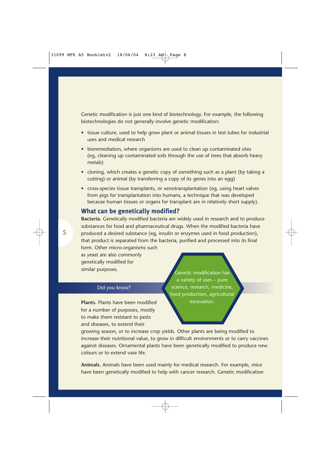Genetic modification is just one kind of biotechnology. For example, the following biotechnologies do not generally involve genetic modification:

- tissue culture, used to help grow plant or animal tissues in test tubes for industrial uses and medical research
- bioremediation, where organisms are used to clean up contaminated sites (eg, cleaning up contaminated soils through the use of trees that absorb heavy metals)
- cloning, which creates a genetic copy of something such as a plant (by taking a cutting) or animal (by transferring a copy of its genes into an egg)
- cross-species tissue transplants, or xenotransplantation (eg, using heart valves from pigs for transplantation into humans, a technique that was developed because human tissues or organs for transplant are in relatively short supply).

#### **What can be genetically modified?**

**Bacteria.** Genetically modified bacteria are widely used in research and to produce substances for food and pharmaceutical drugs. When the modified bacteria have produced a desired substance (eg, insulin or enzymes used in food production), that product is separated from the bacteria, purified and processed into its final form. Other micro-organisms such

as yeast are also commonly genetically modified for similar purposes.

#### Did you know?

**Plants.** Plants have been modified for a number of purposes, mostly to make them resistant to pests and diseases, to extend their

Genetic modification has a variety of uses – pure science, research, medicine, food production, agricultural innovation.

growing season, or to increase crop yields. Other plants are being modified to increase their nutritional value, to grow in difficult environments or to carry vaccines against diseases. Ornamental plants have been genetically modified to produce new colours or to extend vase life.

**Animals.** Animals have been used mainly for medical research. For example, mice have been genetically modified to help with cancer research. Genetic modification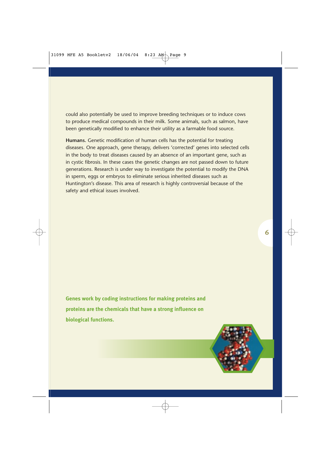could also potentially be used to improve breeding techniques or to induce cows to produce medical compounds in their milk. Some animals, such as salmon, have been genetically modified to enhance their utility as a farmable food source.

**Humans.** Genetic modification of human cells has the potential for treating diseases. One approach, gene therapy, delivers 'corrected' genes into selected cells in the body to treat diseases caused by an absence of an important gene, such as in cystic fibrosis. In these cases the genetic changes are not passed down to future generations. Research is under way to investigate the potential to modify the DNA in sperm, eggs or embryos to eliminate serious inherited diseases such as Huntington's disease. This area of research is highly controversial because of the safety and ethical issues involved.

**Genes work by coding instructions for making proteins and proteins are the chemicals that have a strong influence on biological functions.**

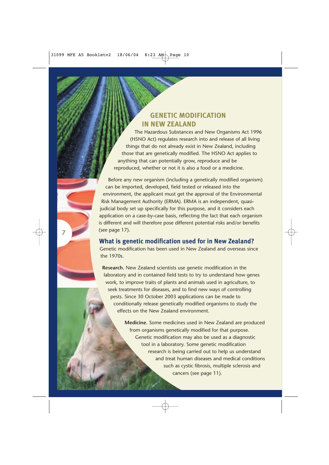#### **GENETIC MODIFICATION IN NEW ZEALAND**

The Hazardous Substances and New Organisms Act 1996 (HSNO Act) regulates research into and release of all living things that do not already exist in New Zealand, including those that are genetically modified. The HSNO Act applies to anything that can potentially grow, reproduce and be reproduced, whether or not it is also a food or a medicine.

Before any new organism (including a genetically modified organism) can be imported, developed, field tested or released into the environment, the applicant must get the approval of the Environmental Risk Management Authority (ERMA). ERMA is an independent, quasijudicial body set up specifically for this purpose, and it considers each application on a case-by-case basis, reflecting the fact that each organism is different and will therefore pose different potential risks and/or benefits (see page 17).

**What is genetic modification used for in New Zealand?** Genetic modification has been used in New Zealand and overseas since the 1970s.

**7**

**Research.** New Zealand scientists use genetic modification in the laboratory and in contained field tests to try to understand how genes work, to improve traits of plants and animals used in agriculture, to seek treatments for diseases, and to find new ways of controlling pests. Since 30 October 2003 applications can be made to conditionally release genetically modified organisms to study the effects on the New Zealand environment.

> **Medicine.** Some medicines used in New Zealand are produced from organisms genetically modified for that purpose. Genetic modification may also be used as a diagnostic tool in a laboratory. Some genetic modification research is being carried out to help us understand and treat human diseases and medical conditions such as cystic fibrosis, multiple sclerosis and cancers (see page 11).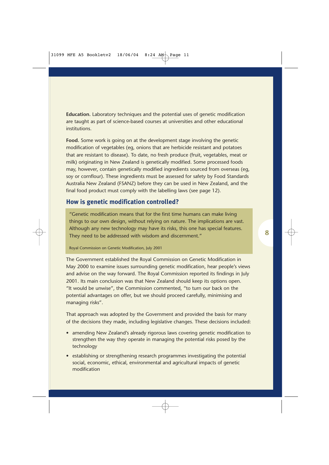**Education.** Laboratory techniques and the potential uses of genetic modification are taught as part of science-based courses at universities and other educational institutions.

**Food.** Some work is going on at the development stage involving the genetic modification of vegetables (eg, onions that are herbicide resistant and potatoes that are resistant to disease). To date, no fresh produce (fruit, vegetables, meat or milk) originating in New Zealand is genetically modified. Some processed foods may, however, contain genetically modified ingredients sourced from overseas (eg, soy or cornflour). These ingredients must be assessed for safety by Food Standards Australia New Zealand (FSANZ) before they can be used in New Zealand, and the final food product must comply with the labelling laws (see page 12).

#### **How is genetic modification controlled?**

"Genetic modification means that for the first time humans can make living things to our own design, without relying on nature. The implications are vast. Although any new technology may have its risks, this one has special features. They need to be addressed with wisdom and discernment."

Royal Commission on Genetic Modification, July 2001

The Government established the Royal Commission on Genetic Modification in May 2000 to examine issues surrounding genetic modification, hear people's views and advise on the way forward. The Royal Commission reported its findings in July 2001. Its main conclusion was that New Zealand should keep its options open. "It would be unwise", the Commission commented, "to turn our back on the potential advantages on offer, but we should proceed carefully, minimising and managing risks".

That approach was adopted by the Government and provided the basis for many of the decisions they made, including legislative changes. These decisions included:

- amending New Zealand's already rigorous laws covering genetic modification to strengthen the way they operate in managing the potential risks posed by the technology
- establishing or strengthening research programmes investigating the potential social, economic, ethical, environmental and agricultural impacts of genetic modification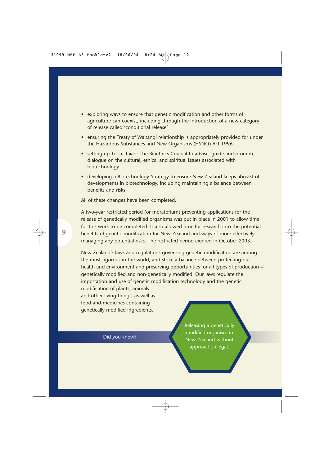- exploring ways to ensure that genetic modification and other forms of agriculture can coexist, including through the introduction of a new category of release called 'conditional release'
- ensuring the Treaty of Waitangi relationship is appropriately provided for under the Hazardous Substances and New Organisms (HSNO) Act 1996
- setting up Toi te Taiao: The Bioethics Council to advise, guide and promote dialogue on the cultural, ethical and spiritual issues associated with biotechnology
- developing a Biotechnology Strategy to ensure New Zealand keeps abreast of developments in biotechnology, including maintaining a balance between benefits and risks.

All of these changes have been completed.

A two-year restricted period (or moratorium) preventing applications for the release of genetically modified organisms was put in place in 2001 to allow time for this work to be completed. It also allowed time for research into the potential benefits of genetic modification for New Zealand and ways of more effectively managing any potential risks. The restricted period expired in October 2003.

New Zealand's laws and regulations governing genetic modification are among the most rigorous in the world, and strike a balance between protecting our health and environment and preserving opportunities for all types of production – genetically modified and non-genetically modified. Our laws regulate the importation and use of genetic modification technology and the genetic modification of plants, animals

and other living things, as well as food and medicines containing genetically modified ingredients.

Did you know?

Releasing a genetically modified organism in New Zealand without approval is illegal.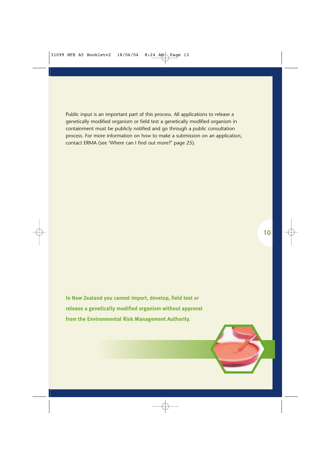Public input is an important part of this process. All applications to release a genetically modified organism or field test a genetically modified organism in containment must be publicly notified and go through a public consultation process. For more information on how to make a submission on an application, contact ERMA (see 'Where can I find out more?' page 25).

**In New Zealand you cannot import, develop, field test or release a genetically modified organism without approval from the Environmental Risk Management Authority.**

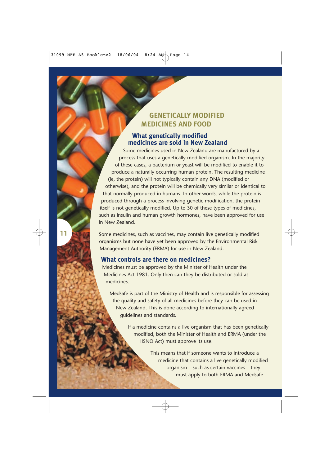#### **GENETICALLY MODIFIED MEDICINES AND FOOD**

#### **What genetically modified medicines are sold in New Zealand**

Some medicines used in New Zealand are manufactured by a process that uses a genetically modified organism. In the majority of these cases, a bacterium or yeast will be modified to enable it to produce a naturally occurring human protein. The resulting medicine (ie, the protein) will not typically contain any DNA (modified or otherwise), and the protein will be chemically very similar or identical to that normally produced in humans. In other words, while the protein is produced through a process involving genetic modification, the protein itself is not genetically modified. Up to 30 of these types of medicines, such as insulin and human growth hormones, have been approved for use in New Zealand.

Some medicines, such as vaccines, may contain live genetically modified organisms but none have yet been approved by the Environmental Risk Management Authority (ERMA) for use in New Zealand.

#### **What controls are there on medicines?**

**11**

Medicines must be approved by the Minister of Health under the Medicines Act 1981. Only then can they be distributed or sold as medicines.

Medsafe is part of the Ministry of Health and is responsible for assessing the quality and safety of all medicines before they can be used in New Zealand. This is done according to internationally agreed guidelines and standards.

> If a medicine contains a live organism that has been genetically modified, both the Minister of Health and ERMA (under the HSNO Act) must approve its use.

> > This means that if someone wants to introduce a medicine that contains a live genetically modified organism – such as certain vaccines – they must apply to both ERMA and Medsafe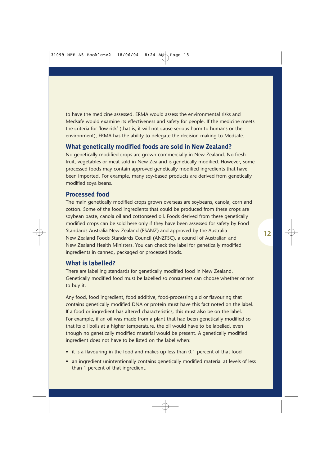to have the medicine assessed. ERMA would assess the environmental risks and Medsafe would examine its effectiveness and safety for people. If the medicine meets the criteria for 'low risk' (that is, it will not cause serious harm to humans or the environment), ERMA has the ability to delegate the decision making to Medsafe.

#### **What genetically modified foods are sold in New Zealand?**

No genetically modified crops are grown commercially in New Zealand. No fresh fruit, vegetables or meat sold in New Zealand is genetically modified. However, some processed foods may contain approved genetically modified ingredients that have been imported. For example, many soy-based products are derived from genetically modified soya beans.

#### **Processed food**

The main genetically modified crops grown overseas are soybeans, canola, corn and cotton. Some of the food ingredients that could be produced from these crops are soybean paste, canola oil and cottonseed oil. Foods derived from these genetically modified crops can be sold here only if they have been assessed for safety by Food Standards Australia New Zealand (FSANZ) and approved by the Australia New Zealand Foods Standards Council (ANZFSC), a council of Australian and New Zealand Health Ministers. You can check the label for genetically modified ingredients in canned, packaged or processed foods.

#### **What is labelled?**

There are labelling standards for genetically modified food in New Zealand. Genetically modified food must be labelled so consumers can choose whether or not to buy it.

Any food, food ingredient, food additive, food-processing aid or flavouring that contains genetically modified DNA or protein must have this fact noted on the label. If a food or ingredient has altered characteristics, this must also be on the label. For example, if an oil was made from a plant that had been genetically modified so that its oil boils at a higher temperature, the oil would have to be labelled, even though no genetically modified material would be present. A genetically modified ingredient does not have to be listed on the label when:

- it is a flavouring in the food and makes up less than 0.1 percent of that food
- an ingredient unintentionally contains genetically modified material at levels of less than 1 percent of that ingredient.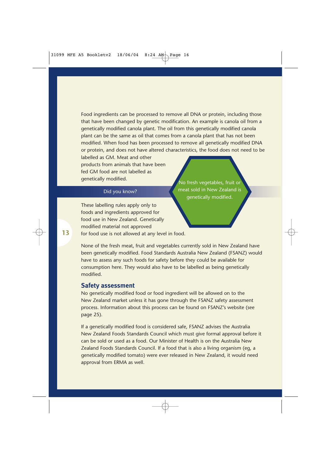Food ingredients can be processed to remove all DNA or protein, including those that have been changed by genetic modification. An example is canola oil from a genetically modified canola plant. The oil from this genetically modified canola plant can be the same as oil that comes from a canola plant that has not been modified. When food has been processed to remove all genetically modified DNA or protein, and does not have altered characteristics, the food does not need to be

labelled as GM. Meat and other products from animals that have been fed GM food are not labelled as genetically modified.

#### Did you know?

These labelling rules apply only to foods and ingredients approved for food use in New Zealand. Genetically modified material not approved for food use is not allowed at any level in food.

No fresh vegetables, fruit or meat sold in New Zealand is genetically modified.

None of the fresh meat, fruit and vegetables currently sold in New Zealand have been genetically modified. Food Standards Australia New Zealand (FSANZ) would have to assess any such foods for safety before they could be available for consumption here. They would also have to be labelled as being genetically modified.

#### **Safety assessment**

No genetically modified food or food ingredient will be allowed on to the New Zealand market unless it has gone through the FSANZ safety assessment process. Information about this process can be found on FSANZ's website (see page 25).

If a genetically modified food is considered safe, FSANZ advises the Australia New Zealand Foods Standards Council which must give formal approval before it can be sold or used as a food. Our Minister of Health is on the Australia New Zealand Foods Standards Council. If a food that is also a living organism (eg, a genetically modified tomato) were ever released in New Zealand, it would need approval from ERMA as well.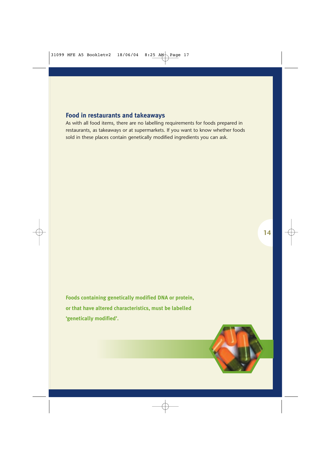#### **Food in restaurants and takeaways**

As with all food items, there are no labelling requirements for foods prepared in restaurants, as takeaways or at supermarkets. If you want to know whether foods sold in these places contain genetically modified ingredients you can ask.

**Foods containing genetically modified DNA or protein, or that have altered characteristics, must be labelled 'genetically modified'.**

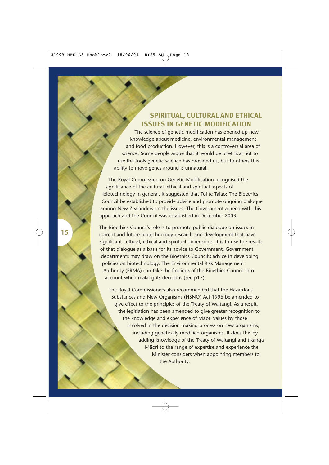#### **SPIRITUAL, CULTURAL AND ETHICAL ISSUES IN GENETIC MODIFICATION**

The science of genetic modification has opened up new knowledge about medicine, environmental management and food production. However, this is a controversial area of science. Some people argue that it would be unethical not to use the tools genetic science has provided us, but to others this ability to move genes around is unnatural.

The Royal Commission on Genetic Modification recognised the significance of the cultural, ethical and spiritual aspects of biotechnology in general. It suggested that Toi te Taiao: The Bioethics Council be established to provide advice and promote ongoing dialogue among New Zealanders on the issues. The Government agreed with this approach and the Council was established in December 2003.

The Bioethics Council's role is to promote public dialogue on issues in current and future biotechnology research and development that have significant cultural, ethical and spiritual dimensions. It is to use the results of that dialogue as a basis for its advice to Government. Government departments may draw on the Bioethics Council's advice in developing policies on biotechnology. The Environmental Risk Management Authority (ERMA) can take the findings of the Bioethics Council into account when making its decisions (see p17).

The Royal Commissioners also recommended that the Hazardous Substances and New Organisms (HSNO) Act 1996 be amended to give effect to the principles of the Treaty of Waitangi. As a result, the legislation has been amended to give greater recognition to the knowledge and experience of Maori values by those involved in the decision making process on new organisms, including genetically modified organisms. It does this by adding knowledge of the Treaty of Waitangi and tikanga Maori to the range of expertise and experience the Minister considers when appointing members to the Authority.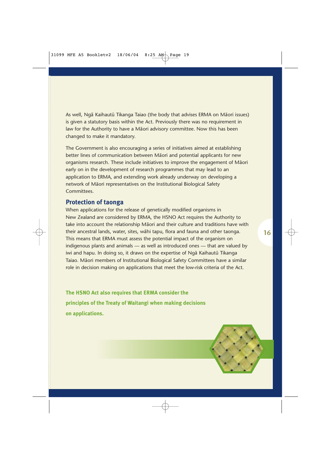As well, Nga Kaihautu Tikanga Taiao (the body that advises ERMA on Maori issues) is given a statutory basis within the Act. Previously there was no requirement in law for the Authority to have a Maori advisory committee. Now this has been changed to make it mandatory.

The Government is also encouraging a series of initiatives aimed at establishing better lines of communication between Maori and potential applicants for new organisms research. These include initiatives to improve the engagement of Maori early on in the development of research programmes that may lead to an application to ERMA, and extending work already underway on developing a network of Maori representatives on the Institutional Biological Safety Committees.

#### **Protection of taonga**

When applications for the release of genetically modified organisms in New Zealand are considered by ERMA, the HSNO Act requires the Authority to take into account the relationship Maori and their culture and traditions have with their ancestral lands, water, sites, wahi tapu, flora and fauna and other taonga. This means that ERMA must assess the potential impact of the organism on indigenous plants and animals — as well as introduced ones — that are valued by iwi and hapu. In doing so, it draws on the expertise of Nga Kaihautu Tikanga Taiao. Maori members of Institutional Biological Safety Committees have a similar role in decision making on applications that meet the low-risk criteria of the Act.

**The HSNO Act also requires that ERMA consider the principles of the Treaty of Waitangi when making decisions on applications.**

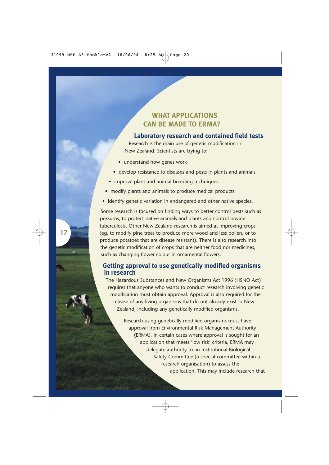### **WHAT APPLICATIONS CAN BE MADE TO ERMA?**

#### **Laboratory research and contained field tests**

Research is the main use of genetic modification in New Zealand. Scientists are trying to:

- understand how genes work
- develop resistance to diseases and pests in plants and animals
- improve plant and animal breeding techniques
- modify plants and animals to produce medical products
- identify genetic variation in endangered and other native species.

Some research is focused on finding ways to better control pests such as possums, to protect native animals and plants and control bovine tuberculosis. Other New Zealand research is aimed at improving crops (eg, to modify pine trees to produce more wood and less pollen, or to produce potatoes that are disease resistant). There is also research into the genetic modification of crops that are neither food nor medicines, such as changing flower colour in ornamental flowers.

#### **Getting approval to use genetically modified organisms in research**

The Hazardous Substances and New Organisms Act 1996 (HSNO Act) requires that anyone who wants to conduct research involving genetic modification must obtain approval. Approval is also required for the release of any living organisms that do not already exist in New Zealand, including any genetically modified organisms.

> Research using genetically modified organisms must have approval from Environmental Risk Management Authority (ERMA). In certain cases where approval is sought for an application that meets 'low risk' criteria, ERMA may delegate authority to an Institutional Biological Safety Committee (a special committee within a research organisation) to assess the application. This may include research that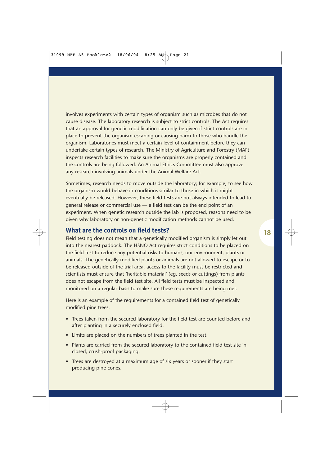involves experiments with certain types of organism such as microbes that do not cause disease. The laboratory research is subject to strict controls. The Act requires that an approval for genetic modification can only be given if strict controls are in place to prevent the organism escaping or causing harm to those who handle the organism. Laboratories must meet a certain level of containment before they can undertake certain types of research. The Ministry of Agriculture and Forestry (MAF) inspects research facilities to make sure the organisms are properly contained and the controls are being followed. An Animal Ethics Committee must also approve any research involving animals under the Animal Welfare Act.

Sometimes, research needs to move outside the laboratory; for example, to see how the organism would behave in conditions similar to those in which it might eventually be released. However, these field tests are not always intended to lead to general release or commercial use — a field test can be the end point of an experiment. When genetic research outside the lab is proposed, reasons need to be given why laboratory or non-genetic modification methods cannot be used.

#### **What are the controls on field tests?**

Field testing does not mean that a genetically modified organism is simply let out into the nearest paddock. The HSNO Act requires strict conditions to be placed on the field test to reduce any potential risks to humans, our environment, plants or animals. The genetically modified plants or animals are not allowed to escape or to be released outside of the trial area, access to the facility must be restricted and scientists must ensure that 'heritable material' (eg, seeds or cuttings) from plants does not escape from the field test site. All field tests must be inspected and monitored on a regular basis to make sure these requirements are being met.

Here is an example of the requirements for a contained field test of genetically modified pine trees.

- Trees taken from the secured laboratory for the field test are counted before and after planting in a securely enclosed field.
- Limits are placed on the numbers of trees planted in the test.
- Plants are carried from the secured laboratory to the contained field test site in closed, crush-proof packaging.
- Trees are destroyed at a maximum age of six years or sooner if they start producing pine cones.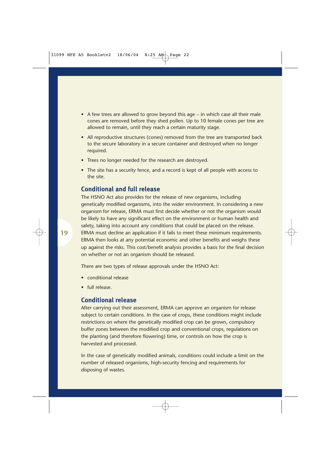- A few trees are allowed to grow beyond this age in which case all their male cones are removed before they shed pollen. Up to 10 female cones per tree are allowed to remain, until they reach a certain maturity stage.
- All reproductive structures (cones) removed from the tree are transported back to the secure laboratory in a secure container and destroyed when no longer required.
- Trees no longer needed for the research are destroyed.
- The site has a security fence, and a record is kept of all people with access to the site.

#### **Conditional and full release**

The HSNO Act also provides for the release of new organisms, including genetically modified organisms, into the wider environment. In considering a new organism for release, ERMA must first decide whether or not the organism would be likely to have any significant effect on the environment or human health and safety, taking into account any conditions that could be placed on the release. ERMA must decline an application if it fails to meet these minimum requirements. ERMA then looks at any potential economic and other benefits and weighs these up against the risks. This cost/benefit analysis provides a basis for the final decision on whether or not an organism should be released.

There are two types of release approvals under the HSNO Act:

- conditional release
- full release.

#### **Conditional release**

After carrying out their assessment, ERMA can approve an organism for release subject to certain conditions. In the case of crops, these conditions might include restrictions on where the genetically modified crop can be grown, compulsory buffer zones between the modified crop and conventional crops, regulations on the planting (and therefore flowering) time, or controls on how the crop is harvested and processed.

In the case of genetically modified animals, conditions could include a limit on the number of released organisms, high-security fencing and requirements for disposing of wastes.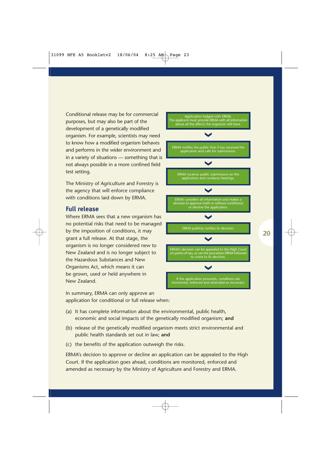Conditional release may be for commercial purposes, but may also be part of the development of a genetically modified organism. For example, scientists may need to know how a modified organism behaves and performs in the wider environment and in a variety of situations — something that is not always possible in a more confined field test setting.

The Ministry of Agriculture and Forestry is the agency that will enforce compliance with conditions laid down by ERMA.

#### **Full release**

Where ERMA sees that a new organism has no potential risks that need to be managed by the imposition of conditions, it may grant a full release. At that stage, the organism is no longer considered new to New Zealand and is no longer subject to the Hazardous Substances and New Organisms Act, which means it can be grown, used or held anywhere in New Zealand.

In summary, ERMA can only approve an application for conditional or full release when:



- (a) It has complete information about the environmental, public health, economic and social impacts of the genetically modified organism; **and**
- (b) release of the genetically modified organism meets strict environmental and public health standards set out in law; **and**
- (c) the benefits of the application outweigh the risks.

ERMA's decision to approve or decline an application can be appealed to the High Court. If the application goes ahead, conditions are monitored, enforced and amended as necessary by the Ministry of Agriculture and Forestry and ERMA.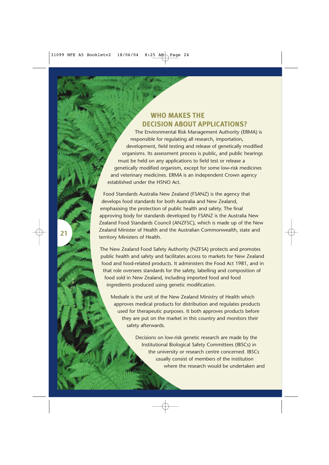#### **WHO MAKES THE DECISION ABOUT APPLICATIONS?**

The Environmental Risk Management Authority (ERMA) is responsible for regulating all research, importation, development, field testing and release of genetically modified organisms. Its assessment process is public, and public hearings must be held on any applications to field test or release a genetically modified organism, except for some low-risk medicines and veterinary medicines. ERMA is an independent Crown agency established under the HSNO Act.

Food Standards Australia New Zealand (FSANZ) is the agency that develops food standards for both Australia and New Zealand, emphasising the protection of public health and safety. The final approving body for standards developed by FSANZ is the Australia New Zealand Food Standards Council (ANZFSC), which is made up of the New Zealand Minister of Health and the Australian Commonwealth, state and territory Ministers of Health.

**21**

The New Zealand Food Safety Authority (NZFSA) protects and promotes public health and safety and facilitates access to markets for New Zealand food and food-related products. It administers the Food Act 1981, and in that role oversees standards for the safety, labelling and composition of food sold in New Zealand, including imported food and food ingredients produced using genetic modification.

Medsafe is the unit of the New Zealand Ministry of Health which approves medical products for distribution and regulates products used for therapeutic purposes. It both approves products before they are put on the market in this country and monitors their safety afterwards.

> Decisions on low-risk genetic research are made by the Institutional Biological Safety Committees (IBSCs) in the university or research centre concerned. IBSCs usually consist of members of the institution where the research would be undertaken and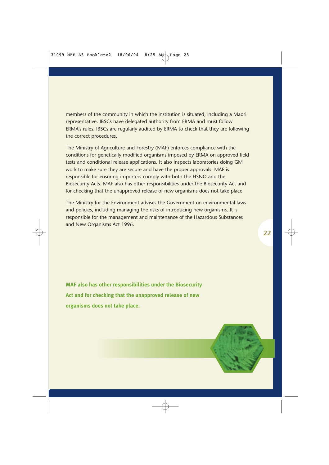members of the community in which the institution is situated, including a Maori representative. IBSCs have delegated authority from ERMA and must follow ERMA's rules. IBSCs are regularly audited by ERMA to check that they are following the correct procedures.

The Ministry of Agriculture and Forestry (MAF) enforces compliance with the conditions for genetically modified organisms imposed by ERMA on approved field tests and conditional release applications. It also inspects laboratories doing GM work to make sure they are secure and have the proper approvals. MAF is responsible for ensuring importers comply with both the HSNO and the Biosecurity Acts. MAF also has other responsibilities under the Biosecurity Act and for checking that the unapproved release of new organisms does not take place.

The Ministry for the Environment advises the Government on environmental laws and policies, including managing the risks of introducing new organisms. It is responsible for the management and maintenance of the Hazardous Substances and New Organisms Act 1996.

**MAF also has other responsibilities under the Biosecurity Act and for checking that the unapproved release of new organisms does not take place.**

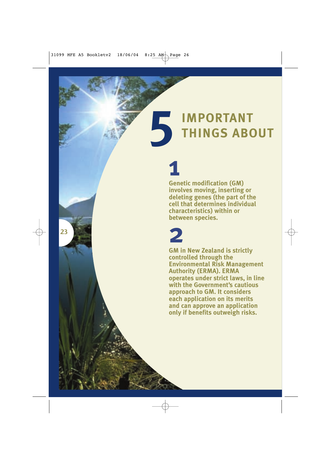# **IMPORTANT THINGS ABOUT 51**

**Genetic modification (GM) involves moving, inserting or deleting genes (the part of the cell that determines individual characteristics) within or between species. 2**

**23**

**GM in New Zealand is strictly controlled through the Environmental Risk Management Authority (ERMA). ERMA operates under strict laws, in line with the Government's cautious approach to GM. It considers each application on its merits and can approve an application only if benefits outweigh risks.**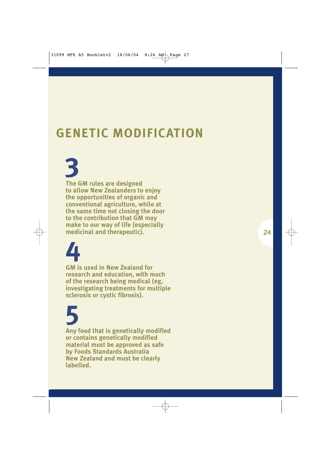## **GENETIC MODIFICATION**

**The GM rules are designed to allow New Zealanders to enjoy the opportunities of organic and conventional agriculture, while at the same time not closing the door to the contribution that GM may make to our way of life (especially medicinal and therapeutic).**

**4**

**3**

**GM is used in New Zealand for research and education, with much of the research being medical (eg, investigating treatments for multiple sclerosis or cystic fibrosis).**

# **5**

**Any food that is genetically modified or contains genetically modified material must be approved as safe by Foods Standards Australia New Zealand and must be clearly labelled.**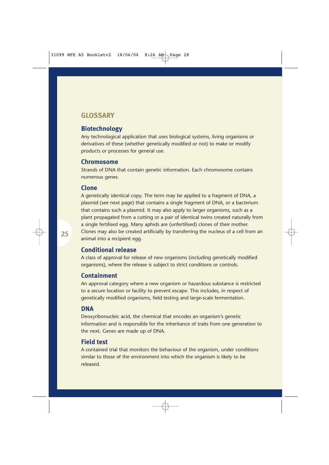### **GLOSSARY**

#### **Biotechnology**

Any technological application that uses biological systems, living organisms or derivatives of these (whether genetically modified or not) to make or modify products or processes for general use.

#### **Chromosome**

Strands of DNA that contain genetic information. Each chromosome contains numerous genes.

#### **Clone**

A genetically identical copy. The term may be applied to a fragment of DNA, a plasmid (see next page) that contains a single fragment of DNA, or a bacterium that contains such a plasmid. It may also apply to larger organisms, such as a plant propagated from a cutting or a pair of identical twins created naturally from a single fertilised egg. Many aphids are (unfertilised) clones of their mother. Clones may also be created artificially by transferring the nucleus of a cell from an animal into a recipient egg.

#### **Conditional release**

A class of approval for release of new organisms (including genetically modified organisms), where the release is subject to strict conditions or controls.

#### **Containment**

An approval category where a new organism or hazardous substance is restricted to a secure location or facility to prevent escape. This includes, in respect of genetically modified organisms, field testing and large-scale fermentation.

#### **DNA**

Deoxyribonucleic acid, the chemical that encodes an organism's genetic information and is responsible for the inheritance of traits from one generation to the next. Genes are made up of DNA.

#### **Field test**

A contained trial that monitors the behaviour of the organism, under conditions similar to those of the environment into which the organism is likely to be released.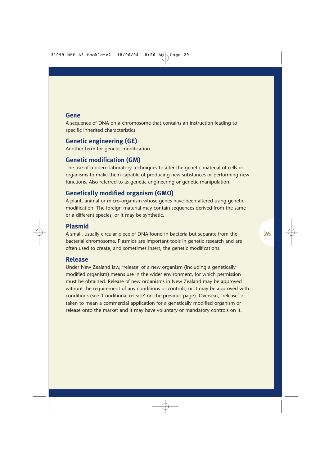#### **Gene**

A sequence of DNA on a chromosome that contains an instruction leading to specific inherited characteristics.

#### **Genetic engineering (GE)**

Another term for genetic modification.

#### **Genetic modification (GM)**

The use of modern laboratory techniques to alter the genetic material of cells or organisms to make them capable of producing new substances or performing new functions. Also referred to as genetic engineering or genetic manipulation.

#### **Genetically modified organism (GMO)**

A plant, animal or micro-organism whose genes have been altered using genetic modification. The foreign material may contain sequences derived from the same or a different species, or it may be synthetic.

#### **Plasmid**

A small, usually circular piece of DNA found in bacteria but separate from the bacterial chromosome. Plasmids are important tools in genetic research and are often used to create, and sometimes insert, the genetic modifications.

#### **Release**

Under New Zealand law, 'release' of a new organism (including a genetically modified organism) means use in the wider environment, for which permission must be obtained. Release of new organisms in New Zealand may be approved without the requirement of any conditions or controls, or it may be approved with conditions (see 'Conditional release' on the previous page). Overseas, 'release' is taken to mean a commercial application for a genetically modified organism or release onto the market and it may have voluntary or mandatory controls on it.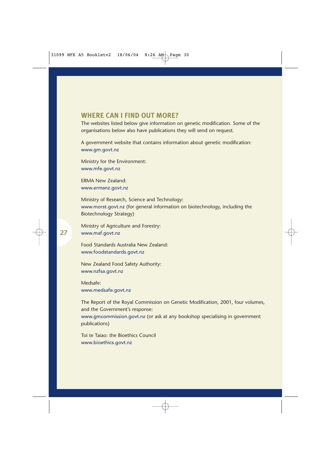#### **WHERE CAN I FIND OUT MORE?**

The websites listed below give information on genetic modification. Some of the organisations below also have publications they will send on request.

A government website that contains information about genetic modification: www.gm.govt.nz

Ministry for the Environment: www.mfe.govt.nz

ERMA New Zealand: www.ermanz.govt.nz

Ministry of Research, Science and Technology: www.morst.govt.nz (for general information on biotechnology, including the Biotechnology Strategy)

Ministry of Agriculture and Forestry: www.maf.govt.nz

Food Standards Australia New Zealand: www.foodstandards.govt.nz

New Zealand Food Safety Authority: www.nzfsa.govt.nz

Medsafe: www.medsafe.govt.nz

The Report of the Royal Commission on Genetic Modification, 2001, four volumes, and the Government's response:

www.gmcommission.govt.nz (or ask at any bookshop specialising in government publications)

Toi te Taiao: the Bioethics Council www.bioethics.govt.nz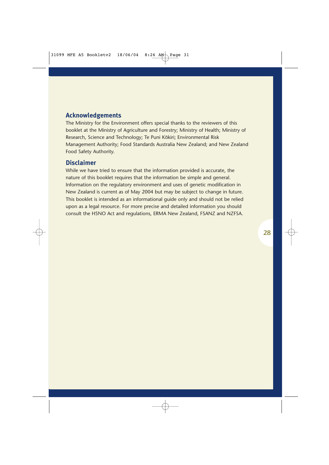#### **Acknowledgements**

The Ministry for the Environment offers special thanks to the reviewers of this booklet at the Ministry of Agriculture and Forestry; Ministry of Health; Ministry of Research, Science and Technology; Te Puni Kōkiri; Environmental Risk Management Authority; Food Standards Australia New Zealand; and New Zealand Food Safety Authority.

#### **Disclaimer**

While we have tried to ensure that the information provided is accurate, the nature of this booklet requires that the information be simple and general. Information on the regulatory environment and uses of genetic modification in New Zealand is current as of May 2004 but may be subject to change in future. This booklet is intended as an informational guide only and should not be relied upon as a legal resource. For more precise and detailed information you should consult the HSNO Act and regulations, ERMA New Zealand, FSANZ and NZFSA.